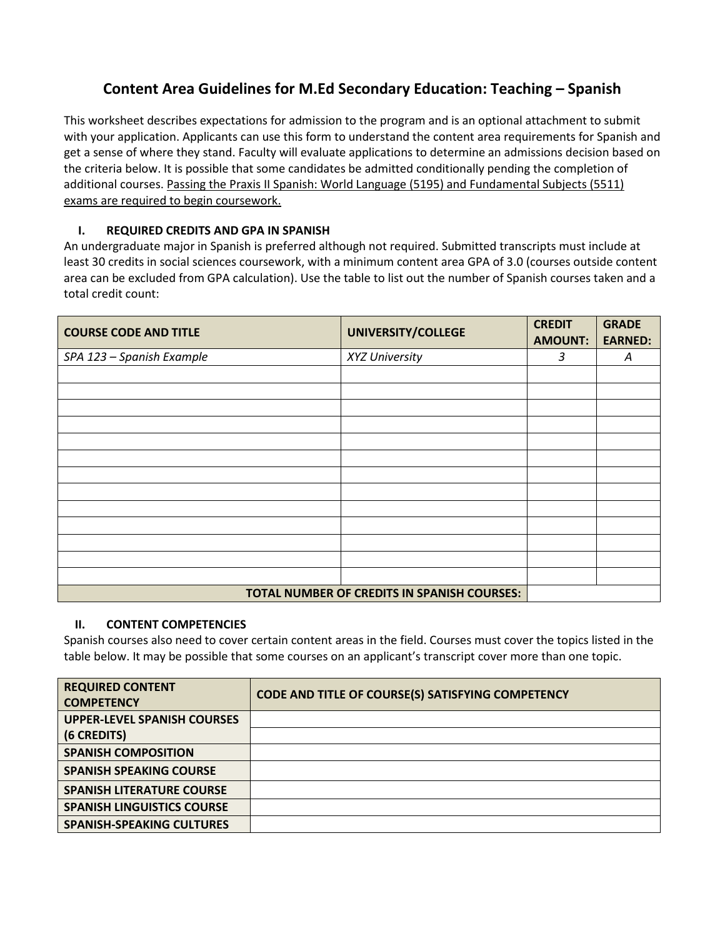## **Content Area Guidelines for M.Ed Secondary Education: Teaching – Spanish**

This worksheet describes expectations for admission to the program and is an optional attachment to submit with your application. Applicants can use this form to understand the content area requirements for Spanish and get a sense of where they stand. Faculty will evaluate applications to determine an admissions decision based on the criteria below. It is possible that some candidates be admitted conditionally pending the completion of additional courses. Passing the Praxis II Spanish: World Language (5195) and Fundamental Subjects (5511) exams are required to begin coursework.

## **I. REQUIRED CREDITS AND GPA IN SPANISH**

An undergraduate major in Spanish is preferred although not required. Submitted transcripts must include at least 30 credits in social sciences coursework, with a minimum content area GPA of 3.0 (courses outside content area can be excluded from GPA calculation). Use the table to list out the number of Spanish courses taken and a total credit count:

| <b>COURSE CODE AND TITLE</b>                | UNIVERSITY/COLLEGE | <b>CREDIT</b><br><b>AMOUNT:</b> | <b>GRADE</b><br><b>EARNED:</b> |
|---------------------------------------------|--------------------|---------------------------------|--------------------------------|
| SPA 123 - Spanish Example                   | XYZ University     | 3                               | Α                              |
|                                             |                    |                                 |                                |
|                                             |                    |                                 |                                |
|                                             |                    |                                 |                                |
|                                             |                    |                                 |                                |
|                                             |                    |                                 |                                |
|                                             |                    |                                 |                                |
|                                             |                    |                                 |                                |
|                                             |                    |                                 |                                |
|                                             |                    |                                 |                                |
|                                             |                    |                                 |                                |
|                                             |                    |                                 |                                |
|                                             |                    |                                 |                                |
|                                             |                    |                                 |                                |
| TOTAL NUMBER OF CREDITS IN SPANISH COURSES: |                    |                                 |                                |

## **II. CONTENT COMPETENCIES**

Spanish courses also need to cover certain content areas in the field. Courses must cover the topics listed in the table below. It may be possible that some courses on an applicant's transcript cover more than one topic.

| <b>REQUIRED CONTENT</b><br><b>COMPETENCY</b>      | <b>CODE AND TITLE OF COURSE(S) SATISFYING COMPETENCY</b> |
|---------------------------------------------------|----------------------------------------------------------|
| <b>UPPER-LEVEL SPANISH COURSES</b><br>(6 CREDITS) |                                                          |
| <b>SPANISH COMPOSITION</b>                        |                                                          |
| <b>SPANISH SPEAKING COURSE</b>                    |                                                          |
| <b>SPANISH LITERATURE COURSE</b>                  |                                                          |
| <b>SPANISH LINGUISTICS COURSE</b>                 |                                                          |
| <b>SPANISH-SPEAKING CULTURES</b>                  |                                                          |